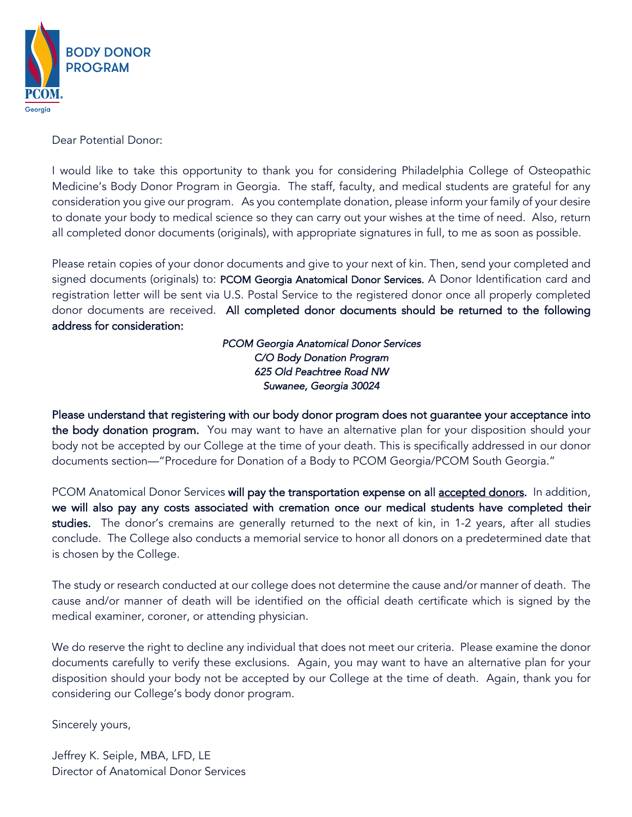

Dear Potential Donor:

I would like to take this opportunity to thank you for considering Philadelphia College of Osteopathic Medicine's Body Donor Program in Georgia. The staff, faculty, and medical students are grateful for any consideration you give our program. As you contemplate donation, please inform your family of your desire to donate your body to medical science so they can carry out your wishes at the time of need. Also, return all completed donor documents (originals), with appropriate signatures in full, to me as soon as possible.

Please retain copies of your donor documents and give to your next of kin. Then, send your completed and signed documents (originals) to: PCOM Georgia Anatomical Donor Services. A Donor Identification card and registration letter will be sent via U.S. Postal Service to the registered donor once all properly completed donor documents are received. All completed donor documents should be returned to the following address for consideration:

> *PCOM Georgia Anatomical Donor Services C/O Body Donation Program 625 Old Peachtree Road NW Suwanee, Georgia 30024*

Please understand that registering with our body donor program does not guarantee your acceptance into the body donation program. You may want to have an alternative plan for your disposition should your body not be accepted by our College at the time of your death. This is specifically addressed in our donor documents section—"Procedure for Donation of a Body to PCOM Georgia/PCOM South Georgia."

PCOM Anatomical Donor Services will pay the transportation expense on all accepted donors. In addition, we will also pay any costs associated with cremation once our medical students have completed their studies. The donor's cremains are generally returned to the next of kin, in 1-2 years, after all studies conclude. The College also conducts a memorial service to honor all donors on a predetermined date that is chosen by the College.

The study or research conducted at our college does not determine the cause and/or manner of death. The cause and/or manner of death will be identified on the official death certificate which is signed by the medical examiner, coroner, or attending physician.

We do reserve the right to decline any individual that does not meet our criteria. Please examine the donor documents carefully to verify these exclusions. Again, you may want to have an alternative plan for your disposition should your body not be accepted by our College at the time of death. Again, thank you for considering our College's body donor program.

Sincerely yours,

Jeffrey K. Seiple, MBA, LFD, LE Director of Anatomical Donor Services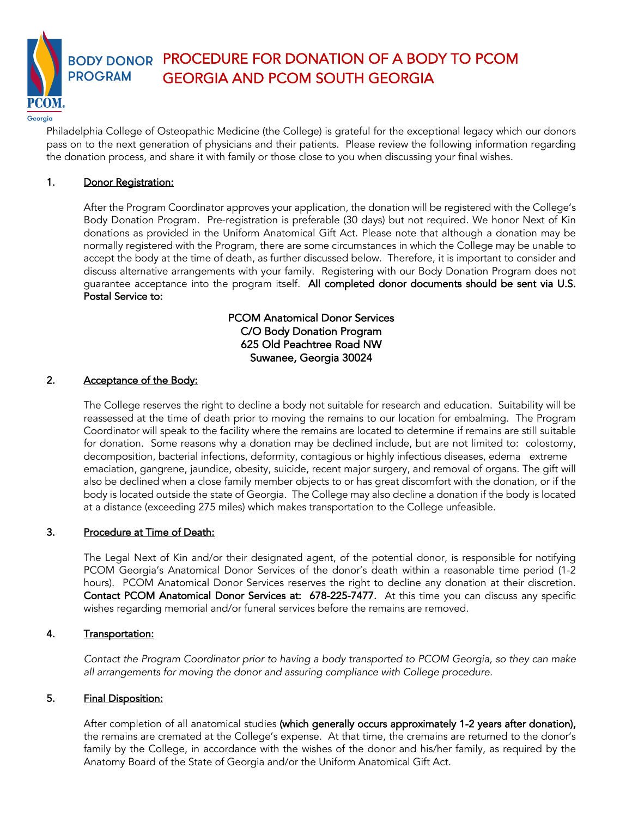BODY DONOR PROGRAM PROCEDURE FOR DONATION OF A BODY TO PCOM

GEORGIA AND PCOM SOUTH GEORGIA

Georaia

Philadelphia College of Osteopathic Medicine (the College) is grateful for the exceptional legacy which our donors pass on to the next generation of physicians and their patients. Please review the following information regarding the donation process, and share it with family or those close to you when discussing your final wishes.

## 1. Donor Registration:

After the Program Coordinator approves your application, the donation will be registered with the College's Body Donation Program. Pre-registration is preferable (30 days) but not required. We honor Next of Kin donations as provided in the Uniform Anatomical Gift Act. Please note that although a donation may be normally registered with the Program, there are some circumstances in which the College may be unable to accept the body at the time of death, as further discussed below. Therefore, it is important to consider and discuss alternative arrangements with your family. Registering with our Body Donation Program does not guarantee acceptance into the program itself. All completed donor documents should be sent via U.S. Postal Service to:

## PCOM Anatomical Donor Services C/O Body Donation Program 625 Old Peachtree Road NW Suwanee, Georgia 30024

## 2. Acceptance of the Body:

The College reserves the right to decline a body not suitable for research and education. Suitability will be reassessed at the time of death prior to moving the remains to our location for embalming. The Program Coordinator will speak to the facility where the remains are located to determine if remains are still suitable for donation. Some reasons why a donation may be declined include, but are not limited to: colostomy, decomposition, bacterial infections, deformity, contagious or highly infectious diseases, edema extreme emaciation, gangrene, jaundice, obesity, suicide, recent major surgery, and removal of organs. The gift will also be declined when a close family member objects to or has great discomfort with the donation, or if the body is located outside the state of Georgia. The College may also decline a donation if the body is located at a distance (exceeding 275 miles) which makes transportation to the College unfeasible.

## 3. Procedure at Time of Death:

The Legal Next of Kin and/or their designated agent, of the potential donor, is responsible for notifying PCOM Georgia's Anatomical Donor Services of the donor's death within a reasonable time period (1-2 hours). PCOM Anatomical Donor Services reserves the right to decline any donation at their discretion. Contact PCOM Anatomical Donor Services at: 678-225-7477. At this time you can discuss any specific wishes regarding memorial and/or funeral services before the remains are removed.

## 4. Transportation:

*Contact the Program Coordinator prior to having a body transported to PCOM Georgia, so they can make all arrangements for moving the donor and assuring compliance with College procedure.* 

### 5. Final Disposition:

After completion of all anatomical studies (which generally occurs approximately 1-2 years after donation), the remains are cremated at the College's expense. At that time, the cremains are returned to the donor's family by the College, in accordance with the wishes of the donor and his/her family, as required by the Anatomy Board of the State of Georgia and/or the Uniform Anatomical Gift Act.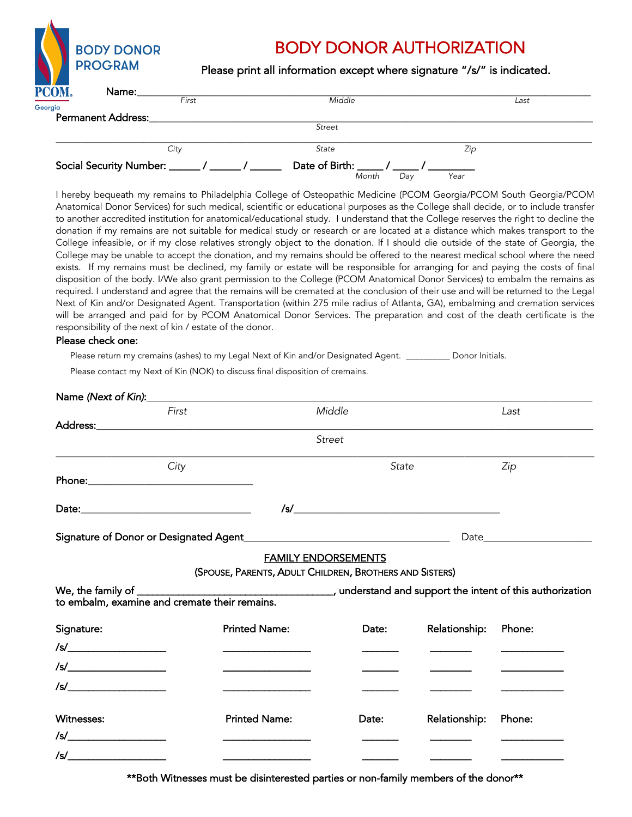|         | <b>BODY DONOR</b><br><b>PROGRAM</b> |       | <b>BODY DONOR AUTHORIZATION</b><br>Please print all information except where signature "/s/" is indicated. |      |  |
|---------|-------------------------------------|-------|------------------------------------------------------------------------------------------------------------|------|--|
| PCOM.   | Name:                               | First | Middle                                                                                                     |      |  |
| Georgia |                                     |       |                                                                                                            | Last |  |
|         | <b>Permanent Address:</b>           |       |                                                                                                            |      |  |
|         |                                     |       | <b>Street</b>                                                                                              |      |  |
|         | City                                |       | State                                                                                                      | Zip  |  |
|         | <b>Social Security Number:</b>      |       | Date of Birth:                                                                                             |      |  |

*Month Day Year*

I hereby bequeath my remains to Philadelphia College of Osteopathic Medicine (PCOM Georgia/PCOM South Georgia/PCOM Anatomical Donor Services) for such medical, scientific or educational purposes as the College shall decide, or to include transfer to another accredited institution for anatomical/educational study. I understand that the College reserves the right to decline the donation if my remains are not suitable for medical study or research or are located at a distance which makes transport to the College infeasible, or if my close relatives strongly object to the donation. If I should die outside of the state of Georgia, the College may be unable to accept the donation, and my remains should be offered to the nearest medical school where the need exists. If my remains must be declined, my family or estate will be responsible for arranging for and paying the costs of final disposition of the body. I/We also grant permission to the College (PCOM Anatomical Donor Services) to embalm the remains as required. I understand and agree that the remains will be cremated at the conclusion of their use and will be returned to the Legal Next of Kin and/or Designated Agent. Transportation (within 275 mile radius of Atlanta, GA), embalming and cremation services will be arranged and paid for by PCOM Anatomical Donor Services. The preparation and cost of the death certificate is the responsibility of the next of kin / estate of the donor.

#### Please check one:

Please return my cremains (ashes) to my Legal Next of Kin and/or Designated Agent. \_\_\_\_\_\_\_\_\_\_ Donor Initials.

Please contact my Next of Kin (NOK) to discuss final disposition of cremains.

|                                                                     | First |                            | Middle                                                  |               | Last                                                                                                                                                                                                                                 |
|---------------------------------------------------------------------|-------|----------------------------|---------------------------------------------------------|---------------|--------------------------------------------------------------------------------------------------------------------------------------------------------------------------------------------------------------------------------------|
|                                                                     |       |                            |                                                         |               |                                                                                                                                                                                                                                      |
|                                                                     |       |                            | <b>Street</b>                                           |               |                                                                                                                                                                                                                                      |
|                                                                     | City  |                            | State                                                   |               | Zip                                                                                                                                                                                                                                  |
|                                                                     |       |                            |                                                         |               |                                                                                                                                                                                                                                      |
|                                                                     |       |                            |                                                         |               |                                                                                                                                                                                                                                      |
|                                                                     |       |                            |                                                         |               |                                                                                                                                                                                                                                      |
|                                                                     |       | <b>FAMILY ENDORSEMENTS</b> |                                                         |               |                                                                                                                                                                                                                                      |
|                                                                     |       |                            | (SPOUSE, PARENTS, ADULT CHILDREN, BROTHERS AND SISTERS) |               |                                                                                                                                                                                                                                      |
|                                                                     |       |                            |                                                         |               |                                                                                                                                                                                                                                      |
| Signature:                                                          |       | <b>Printed Name:</b>       | Date:                                                   | Relationship: | Phone:                                                                                                                                                                                                                               |
| $\sqrt{s}/\frac{1}{\sqrt{1-\frac{1}{s}}\left(1-\frac{1}{s}\right)}$ |       |                            |                                                         |               | and the company of the company of                                                                                                                                                                                                    |
| $\frac{1}{s}$                                                       |       |                            |                                                         |               | <u> 2002 - John Harrison, mars et al.</u>                                                                                                                                                                                            |
| $\sqrt{s}/\frac{1}{\sqrt{1-\frac{1}{s}}}\left(1-\frac{1}{s}\right)$ |       |                            |                                                         |               | <u>and the company of the company of the company of the company of the company of the company of the company of the company of the company of the company of the company of the company of the company of the company of the com</u> |
| Witnesses:                                                          |       | <b>Printed Name:</b>       | Date:                                                   | Relationship: | Phone:                                                                                                                                                                                                                               |
| $\sqrt{s}/\sqrt{s}$                                                 |       |                            |                                                         |               |                                                                                                                                                                                                                                      |
|                                                                     |       |                            |                                                         |               |                                                                                                                                                                                                                                      |

\*\*Both Witnesses must be disinterested parties or non-family members of the donor\*\*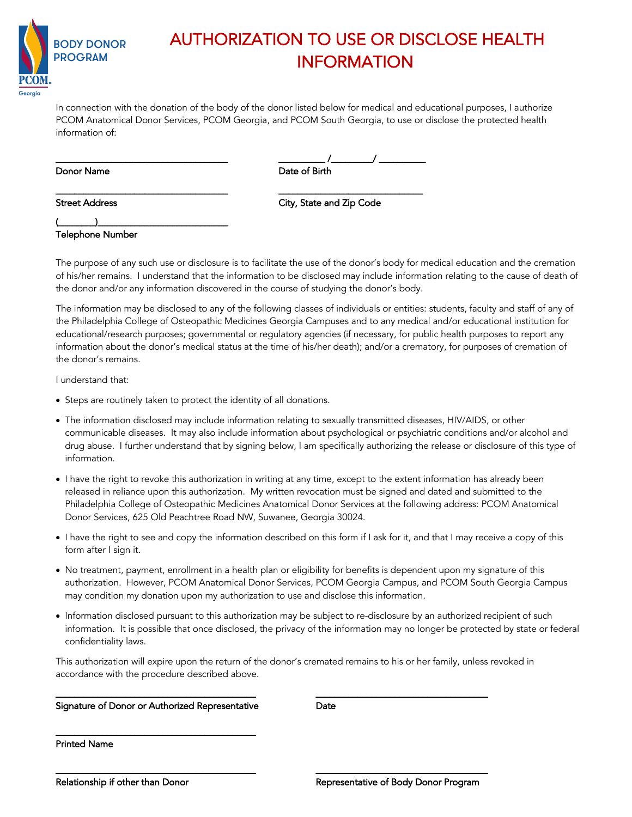

## AUTHORIZATION TO USE OR DISCLOSE HEALTH INFORMATION

In connection with the donation of the body of the donor listed below for medical and educational purposes, I authorize PCOM Anatomical Donor Services, PCOM Georgia, and PCOM South Georgia, to use or disclose the protected health information of:

#### Donor Name **Date of Birth and Birth and Birth and Birth and Birth and Birth and Birth and Birth and Birth and B**

| Donor Name | Date of Birth |
|------------|---------------|

\_\_\_\_\_\_\_\_\_\_\_\_\_\_\_\_\_\_\_\_\_\_\_\_\_\_\_\_\_\_\_\_\_\_\_\_\_ \_\_\_\_\_\_\_\_\_\_\_\_\_\_\_\_\_\_\_\_\_\_\_\_\_\_\_\_\_\_\_

Street Address **City, State and Zip Code** 

(\_\_\_\_\_\_\_\_)\_\_\_\_\_\_\_\_\_\_\_\_\_\_\_\_\_\_\_\_\_\_\_\_\_\_\_\_ Telephone Number

The purpose of any such use or disclosure is to facilitate the use of the donor's body for medical education and the cremation of his/her remains. I understand that the information to be disclosed may include information relating to the cause of death of the donor and/or any information discovered in the course of studying the donor's body.

The information may be disclosed to any of the following classes of individuals or entities: students, faculty and staff of any of the Philadelphia College of Osteopathic Medicines Georgia Campuses and to any medical and/or educational institution for educational/research purposes; governmental or regulatory agencies (if necessary, for public health purposes to report any information about the donor's medical status at the time of his/her death); and/or a crematory, for purposes of cremation of the donor's remains.

I understand that:

- Steps are routinely taken to protect the identity of all donations.
- The information disclosed may include information relating to sexually transmitted diseases, HIV/AIDS, or other communicable diseases. It may also include information about psychological or psychiatric conditions and/or alcohol and drug abuse. I further understand that by signing below, I am specifically authorizing the release or disclosure of this type of information.
- I have the right to revoke this authorization in writing at any time, except to the extent information has already been released in reliance upon this authorization. My written revocation must be signed and dated and submitted to the Philadelphia College of Osteopathic Medicines Anatomical Donor Services at the following address: PCOM Anatomical Donor Services, 625 Old Peachtree Road NW, Suwanee, Georgia 30024.
- I have the right to see and copy the information described on this form if I ask for it, and that I may receive a copy of this form after I sign it.
- No treatment, payment, enrollment in a health plan or eligibility for benefits is dependent upon my signature of this authorization. However, PCOM Anatomical Donor Services, PCOM Georgia Campus, and PCOM South Georgia Campus may condition my donation upon my authorization to use and disclose this information.
- Information disclosed pursuant to this authorization may be subject to re-disclosure by an authorized recipient of such information. It is possible that once disclosed, the privacy of the information may no longer be protected by state or federal confidentiality laws.

This authorization will expire upon the return of the donor's cremated remains to his or her family, unless revoked in accordance with the procedure described above.

\_\_\_\_\_\_\_\_\_\_\_\_\_\_\_\_\_\_\_\_\_\_\_\_\_\_\_\_\_\_\_\_\_\_\_\_\_\_\_\_\_\_\_ \_\_\_\_\_\_\_\_\_\_\_\_\_\_\_\_\_\_\_\_\_\_\_\_\_\_\_\_\_\_\_\_\_\_\_\_\_

\_\_\_\_\_\_\_\_\_\_\_\_\_\_\_\_\_\_\_\_\_\_\_\_\_\_\_\_\_\_\_\_\_\_\_\_\_\_\_\_\_\_\_ \_\_\_\_\_\_\_\_\_\_\_\_\_\_\_\_\_\_\_\_\_\_\_\_\_\_\_\_\_\_\_\_\_\_\_\_\_

#### Signature of Donor or Authorized Representative **Date**

\_\_\_\_\_\_\_\_\_\_\_\_\_\_\_\_\_\_\_\_\_\_\_\_\_\_\_\_\_\_\_\_\_\_\_\_\_\_\_\_\_\_\_

Printed Name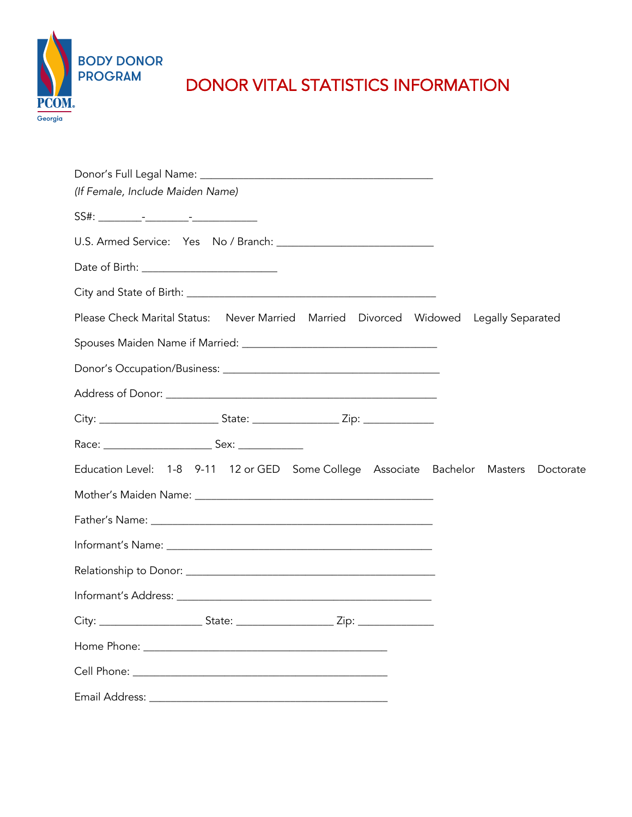

# DONOR VITAL STATISTICS INFORMATION

| Donor's Full Legal Name: University of the Senate Property of Tennis Property and Tennis Property of the District |           |
|-------------------------------------------------------------------------------------------------------------------|-----------|
| (If Female, Include Maiden Name)                                                                                  |           |
|                                                                                                                   |           |
|                                                                                                                   |           |
|                                                                                                                   |           |
|                                                                                                                   |           |
| Please Check Marital Status: Never Married Married Divorced Widowed Legally Separated                             |           |
|                                                                                                                   |           |
|                                                                                                                   |           |
|                                                                                                                   |           |
|                                                                                                                   |           |
|                                                                                                                   |           |
| Education Level: 1-8 9-11 12 or GED Some College Associate Bachelor Masters                                       | Doctorate |
|                                                                                                                   |           |
|                                                                                                                   |           |
|                                                                                                                   |           |
|                                                                                                                   |           |
|                                                                                                                   |           |
|                                                                                                                   |           |
|                                                                                                                   |           |
|                                                                                                                   |           |
|                                                                                                                   |           |